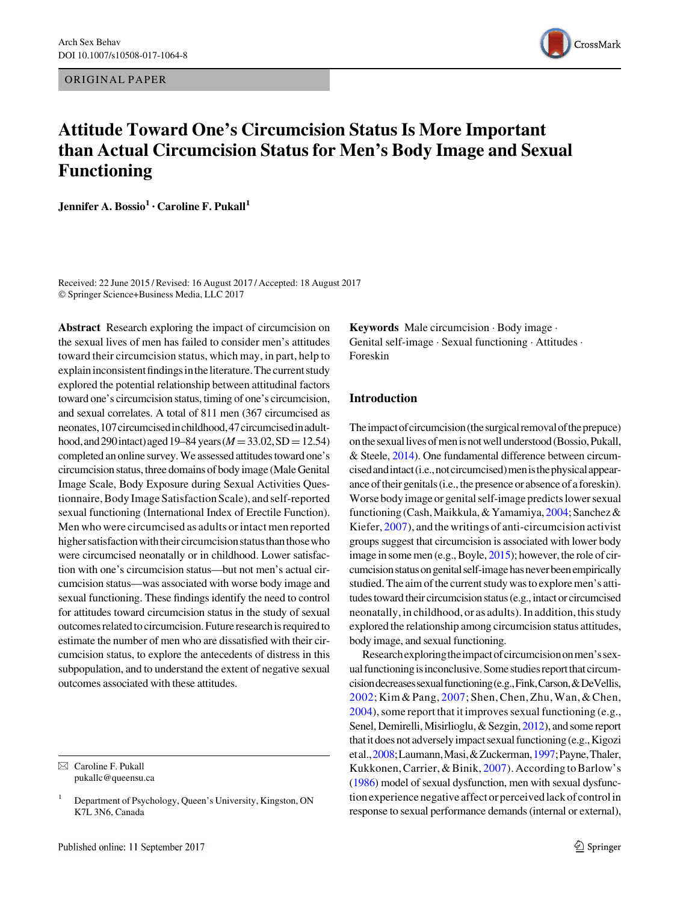ORIGINAL PAPER



# Attitude Toward One's Circumcision Status Is More Important than Actual Circumcision Status for Men's Body Image and Sexual Functioning

Jennifer A. Bossio<sup>1</sup> · Caroline F. Pukall<sup>1</sup>

Received: 22 June 2015 / Revised: 16 August 2017 / Accepted: 18 August 2017 © Springer Science+Business Media, LLC 2017

Abstract Research exploring the impact of circumcision on the sexual lives of men has failed to consider men's attitudes toward their circumcision status, which may, in part, help to explain inconsistent findings in the literature. The current study explored the potential relationship between attitudinal factors toward one's circumcision status, timing of one's circumcision, and sexual correlates. A total of 811 men (367 circumcised as neonates,107circumcisedinchildhood,47circumcisedinadulthood, and 290 intact) aged 19–84 years ( $M = 33.02$ , SD = 12.54) completed an online survey. We assessed attitudes toward one's circumcision status, three domains of body image (Male Genital Image Scale, Body Exposure during Sexual Activities Questionnaire, Body Image Satisfaction Scale), and self-reported sexual functioning (International Index of Erectile Function). Men who were circumcised as adults or intact men reported higher satisfaction with their circumcision status than those who were circumcised neonatally or in childhood. Lower satisfaction with one's circumcision status—but not men's actual circumcision status—was associated with worse body image and sexual functioning. These findings identify the need to control for attitudes toward circumcision status in the study of sexual outcomes related to circumcision. Future researchis required to estimate the number of men who are dissatisfied with their circumcision status, to explore the antecedents of distress in this subpopulation, and to understand the extent of negative sexual outcomes associated with these attitudes.

Keywords Male circumcision - Body image - Genital self-image - Sexual functioning - Attitudes - Foreskin

# Introduction

The impact of circumcision (the surgical removal of the prepuce) onthesexuallivesofmenisnotwellunderstood(Bossio,Pukall, & Steele, [2014](#page-9-0)). One fundamental difference between circumcisedandintact(i.e.,notcircumcised)menisthephysicalappearance of their genitals (i.e., the presence or absence of a foreskin). Worse body image or genital self-image predicts lower sexual functioning (Cash,Maikkula, & Yamamiya, [2004;](#page-9-0) Sanchez & Kiefer, [2007](#page-10-0)), and the writings of anti-circumcision activist groups suggest that circumcision is associated with lower body image in some men (e.g., Boyle, [2015](#page-9-0)); however, the role of circumcision status on genital self-image has never been empirically studied. The aim of the current study was to explore men's attitudes toward their circumcision status (e.g., intact or circumcised neonatally, in childhood, or as adults). In addition, this study explored the relationship among circumcision status attitudes, body image, and sexual functioning.

Researchexploringtheimpactofcircumcisiononmen'ssexual functioning is inconclusive. Some studies report that circumcisiondecreasessexualfunctioning(e.g.,Fink,Carson,&DeVellis, [2002;](#page-9-0)Kim&Pang, [2007](#page-9-0);Shen,Chen,Zhu,Wan,&Chen, [2004](#page-10-0)), some report that it improves sexual functioning (e.g., Senel, Demirelli, Misirlioglu, & Sezgin, [2012\)](#page-10-0), and some report that it does not adversely impact sexual functioning (e.g., Kigozi etal.,[2008;](#page-9-0)Laumann,Masi,&Zuckerman,[1997](#page-9-0);Payne,Thaler, Kukkonen, Carrier, & Binik,  $2007$ ). According to Barlow's [\(1986](#page-9-0)) model of sexual dysfunction, men with sexual dysfunction experience negative affect or perceived lack of control in response to sexual performance demands (internal or external),

 $\boxtimes$  Caroline F. Pukall pukallc@queensu.ca

<sup>&</sup>lt;sup>1</sup> Department of Psychology, Queen's University, Kingston, ON K7L 3N6, Canada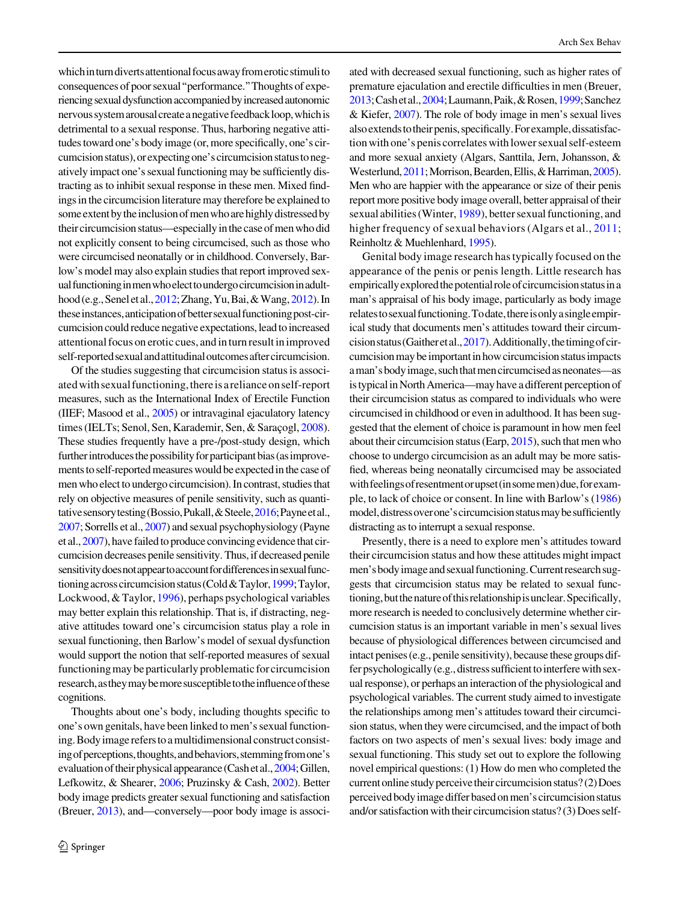which in turn diverts attentional focus away from erotic stimulito consequences of poor sexual''performance.''Thoughts of experiencing sexual dysfunction accompanied by increased autonomic nervoussystemarousalcreateanegativefeedbackloop,whichis detrimental to a sexual response. Thus, harboring negative attitudes toward one's body image (or, more specifically, one's circumcisionstatus),orexpectingone'scircumcisionstatustonegatively impact one's sexual functioning may be sufficiently distracting as to inhibit sexual response in these men. Mixed findings in the circumcision literature may therefore be explained to some extent by the inclusion of men who are highly distressed by their circumcision status—especially in the case of men who did not explicitly consent to being circumcised, such as those who were circumcised neonatally or in childhood. Conversely, Barlow's model may also explain studies that report improved sexual functioning in men who elect to undergo circumcision in adult-hood (e.g., Senel et al., [2012;](#page-9-0) Zhang, Yu, Bai, & Wang, [2012](#page-10-0)). In these instances, anticipation of better sexual functioning post-circumcision could reduce negative expectations, lead to increased attentional focus on erotic cues, and in turn result in improved self-reported sexual and attitudinal outcomes after circumcision.

Of the studies suggesting that circumcision status is associatedwithsexualfunctioning,thereisarelianceonself-report measures, such as the International Index of Erectile Function (IIEF; Masood et al., [2005\)](#page-10-0) or intravaginal ejaculatory latency times (IELTs; Senol, Sen, Karademir, Sen, & Saraçogl, [2008](#page-10-0)). These studies frequently have a pre-/post-study design, which further introduces the possibility for participant bias (as improvements to self-reported measures would be expected in the case of men who elect to undergo circumcision). In contrast, studies that rely on objective measures of penile sensitivity, such as quanti-tative sensory testing (Bossio, Pukall, & Steele, [2016;](#page-9-0) Payne et al., [2007](#page-10-0); Sorrells et al., [2007\)](#page-10-0) and sexual psychophysiology (Payne et al., [2007](#page-10-0)), have failed to produce convincing evidence that circumcision decreases penile sensitivity. Thus, if decreased penile sensitivity does not appear to account for differences in sexual func-tioning across circumcision status (Cold & Taylor, [1999](#page-9-0); Taylor, Lockwood, & Taylor, [1996\)](#page-10-0), perhaps psychological variables may better explain this relationship. That is, if distracting, negative attitudes toward one's circumcision status play a role in sexual functioning, then Barlow's model of sexual dysfunction would support the notion that self-reported measures of sexual functioning may be particularly problematic for circumcision research,astheymaybemoresusceptibletotheinfluenceofthese cognitions.

Thoughts about one's body, including thoughts specific to one's own genitals, have been linked to men's sexual functioning. Body image refers to a multidimensional construct consisting of perceptions, thoughts, and behaviors, stemming from one's evaluation of their physical appearance (Cash et al., [2004](#page-9-0); Gillen, Lefkowitz, & Shearer, [2006;](#page-9-0) Pruzinsky & Cash, [2002\)](#page-10-0). Better body image predicts greater sexual functioning and satisfaction (Breuer, [2013](#page-9-0)), and—conversely—poor body image is associ-

ated with decreased sexual functioning, such as higher rates of premature ejaculation and erectile difficulties in men (Breuer, [2013](#page-9-0);Cashetal.,[2004](#page-9-0);Laumann,Paik,&Rosen,[1999](#page-9-0);Sanchez & Kiefer, [2007](#page-10-0)). The role of body image in men's sexual lives also extends to their penis, specifically. For example, dissatisfaction with one's penis correlates with lower sexual self-esteem and more sexual anxiety (Algars, Santtila, Jern, Johansson, & Westerlund, [2011](#page-9-0); Morrison, Bearden, Ellis, & Harriman, [2005\)](#page-10-0). Men who are happier with the appearance or size of their penis report more positive body image overall, better appraisal of their sexual abilities (Winter, [1989](#page-10-0)), better sexual functioning, and higher frequency of sexual behaviors (Algars et al., [2011](#page-9-0); Reinholtz & Muehlenhard, [1995\)](#page-10-0).

Genital body image research has typically focused on the appearance of the penis or penis length. Little research has empirically explored the potential role of circumcision status in a man's appraisal of his body image, particularly as body image relates to sexual functioning. To date, there is only a single empirical study that documents men's attitudes toward their circumcisionstatus(Gaitheretal.,[2017](#page-9-0)).Additionally,thetimingofcircumcision may be important in how circumcision status impacts aman'sbodyimage,suchthatmencircumcisedasneonates—as is typicalin North America—may have a different perception of their circumcision status as compared to individuals who were circumcised in childhood or even in adulthood. It has been suggested that the element of choice is paramount in how men feel about their circumcision status (Earp, [2015\)](#page-9-0), such that men who choose to undergo circumcision as an adult may be more satisfied, whereas being neonatally circumcised may be associated with feelings of resentment or upset (in some men) due, for example, to lack of choice or consent. In line with Barlow's [\(1986\)](#page-9-0) model, distress over one's circumcision status may be sufficiently distracting as to interrupt a sexual response.

Presently, there is a need to explore men's attitudes toward their circumcision status and how these attitudes might impact men's body image and sexual functioning. Current research suggests that circumcision status may be related to sexual functioning, but the nature of this relationship is unclear. Specifically, more research is needed to conclusively determine whether circumcision status is an important variable in men's sexual lives because of physiological differences between circumcised and intact penises (e.g., penile sensitivity), because these groups differ psychologically (e.g., distress sufficient to interfere with sexual response), or perhaps an interaction of the physiological and psychological variables. The current study aimed to investigate the relationships among men's attitudes toward their circumcision status, when they were circumcised, and the impact of both factors on two aspects of men's sexual lives: body image and sexual functioning. This study set out to explore the following novel empirical questions: (1) How do men who completed the current online study perceive their circumcision status? (2) Does perceivedbody imagedifferbasedonmen'scircumcisionstatus and/or satisfaction with their circumcision status? (3) Does self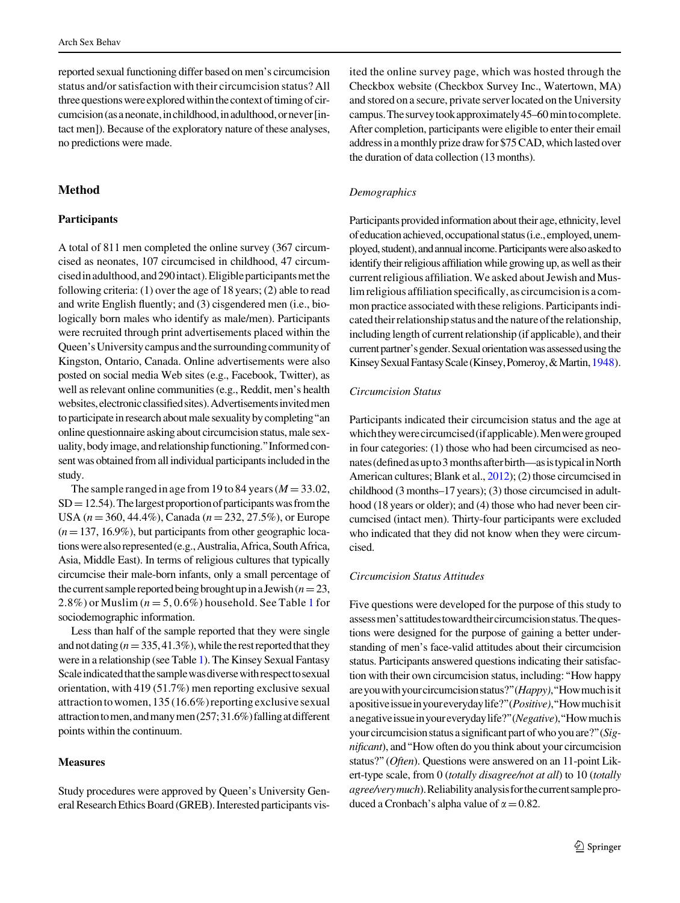reported sexual functioning differ based on men's circumcision status and/or satisfaction with their circumcision status? All three questions were explored within the context of timing of circumcision (as a neonate, in childhood, in adulthood, or never [intact men]). Because of the exploratory nature of these analyses, no predictions were made.

# Method

## **Participants**

A total of 811 men completed the online survey (367 circumcised as neonates, 107 circumcised in childhood, 47 circumcisedinadulthood,and290intact).Eligibleparticipantsmetthe following criteria: (1) over the age of 18 years; (2) able to read and write English fluently; and (3) cisgendered men (i.e., biologically born males who identify as male/men). Participants were recruited through print advertisements placed within the Queen's University campus and the surrounding community of Kingston, Ontario, Canada. Online advertisements were also posted on social media Web sites (e.g., Facebook, Twitter), as well as relevant online communities (e.g., Reddit, men's health websites, electronic classified sites). Advertisements invited men to participate in research about male sexuality by completing''an online questionnaire asking about circumcision status, male sexuality, body image, and relationship functioning." Informed consent was obtained from all individual participants included in the study.

The sample ranged in age from 19 to 84 years ( $M = 33.02$ ,  $SD = 12.54$ ). The largest proportion of participants was from the USA ( $n = 360, 44.4\%$ ), Canada ( $n = 232, 27.5\%$ ), or Europe  $(n=137, 16.9\%)$ , but participants from other geographic locations were also represented (e.g., Australia, Africa, South Africa, Asia, Middle East). In terms of religious cultures that typically circumcise their male-born infants, only a small percentage of the current sample reported being brought up in a Jewish ( $n=23$ , 2.8%) or Muslim ( $n = 5, 0.6\%$ ) household. See Table [1](#page-3-0) for sociodemographic information.

Less than half of the sample reported that they were single and not dating ( $n=335,41.3\%$ ), while the rest reported that they were in a relationship (see Table [1\)](#page-3-0). The Kinsey Sexual Fantasy Scale indicated that the sample was diverse with respect to sexual orientation, with 419 (51.7%) men reporting exclusive sexual attraction to women, 135 (16.6%) reporting exclusive sexual attractiontomen,andmanymen(257;31.6%)fallingatdifferent points within the continuum.

#### **Measures**

Study procedures were approved by Queen's University General Research Ethics Board (GREB). Interested participants visited the online survey page, which was hosted through the Checkbox website (Checkbox Survey Inc., Watertown, MA) and stored on a secure, private server located on the University campus. The survey took approximately 45–60 min to complete. After completion, participants were eligible to enter their email address in a monthly prize draw for \$75 CAD, which lasted over the duration of data collection (13 months).

# Demographics

Participants provided information about their age, ethnicity, level of education achieved, occupational status (i.e., employed, unemployed, student), and annual income. Participants were also asked to identify their religious affiliation while growing up, as well as their current religious affiliation. We asked about Jewish and Muslim religious affiliation specifically, as circumcision is a common practice associated with these religions. Participants indicated their relationship status and the nature of the relationship, including length of current relationship (if applicable), and their current partner's gender. Sexual orientation was assessed using the Kinsey Sexual Fantasy Scale (Kinsey, Pomeroy, & Martin, [1948](#page-9-0)).

# Circumcision Status

Participants indicated their circumcision status and the age at whichtheywerecircumcised(ifapplicable).Menweregrouped in four categories: (1) those who had been circumcised as neonates (defined as up to 3 months after birth—as is typical in North American cultures; Blank et al., [2012](#page-9-0)); (2) those circumcised in childhood (3 months–17 years); (3) those circumcised in adulthood (18 years or older); and (4) those who had never been circumcised (intact men). Thirty-four participants were excluded who indicated that they did not know when they were circumcised.

## Circumcision Status Attitudes

Five questions were developed for the purpose of this study to assessmen'sattitudestowardtheircircumcisionstatus.Thequestions were designed for the purpose of gaining a better understanding of men's face-valid attitudes about their circumcision status. Participants answered questions indicating their satisfaction with their own circumcision status, including:''How happy are you with your circumcision status?" (Happy), "How much is it apositive issue in your everyday life?" (Positive), "How much is it anegative issue in your everyday life?" (*Negative*), "How much is your circumcision status a significant part of who you are?" (Significant), and''How often do you think about your circumcision status?" (Often). Questions were answered on an 11-point Likert-type scale, from 0 (totally disagree/not at all) to 10 (totally agree/verymuch). Reliability analysis for the current sample produced a Cronbach's alpha value of  $\alpha = 0.82$ .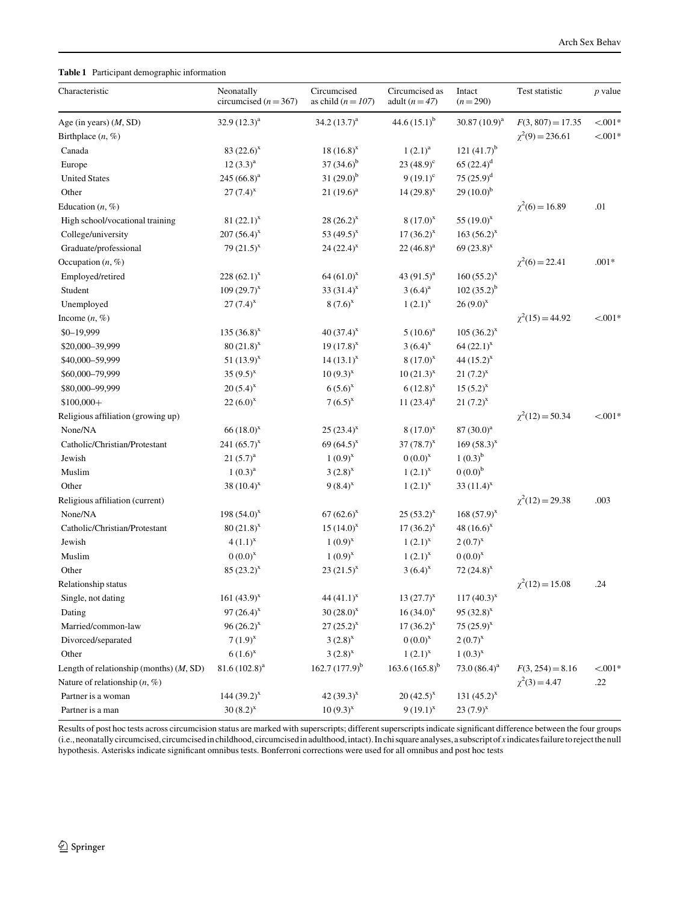#### <span id="page-3-0"></span>Table 1 Participant demographic information

| Characteristic                            | Neonatally<br>circumcised ( $n = 367$ ) | Circumcised<br>as child ( $n = 107$ ) | Circumcised as<br>adult $(n=47)$ | Intact<br>$(n=290)$ | Test statistic       | $p$ value |
|-------------------------------------------|-----------------------------------------|---------------------------------------|----------------------------------|---------------------|----------------------|-----------|
| Age (in years) $(M, SD)$                  | $32.9(12.3)^{a}$                        | $34.2(13.7)^a$                        | 44.6 $(15.1)^{b}$                | $30.87(10.9)^a$     | $F(3, 807) = 17.35$  | $< 0.01*$ |
| Birthplace $(n, \%)$                      |                                         |                                       |                                  |                     | $\chi^2(9) = 236.61$ | $< 0.01*$ |
| Canada                                    | $83(22.6)^{x}$                          | $18(16.8)^{x}$                        | $1(2.1)^{a}$                     | 121 $(41.7)^{b}$    |                      |           |
| Europe                                    | $12 (3.3)^a$                            | $37(34.6)^b$                          | $23(48.9)^{\circ}$               | $65(22.4)^d$        |                      |           |
| <b>United States</b>                      | 245 $(66.8)^a$                          | $31(29.0)^{b}$                        | $9(19.1)^{c}$                    | $75(25.9)^d$        |                      |           |
| Other                                     | $27 (7.4)^{x}$                          | $21(19.6)^{a}$                        | $14(29.8)^{x}$                   | $29(10.0)^{b}$      |                      |           |
| Education $(n, \%)$                       |                                         |                                       |                                  |                     | $\chi^2(6) = 16.89$  | .01       |
| High school/vocational training           | 81 $(22.1)^{x}$                         | $28(26.2)^{x}$                        | $8(17.0)^{x}$                    | 55 $(19.0)^{x}$     |                      |           |
| College/university                        | $207(56.4)^{x}$                         | 53 $(49.5)^{x}$                       | $17(36.2)^{x}$                   | $163 (56.2)^{x}$    |                      |           |
| Graduate/professional                     | 79 $(21.5)^{x}$                         | $24(22.4)^{x}$                        | $22(46.8)^a$                     | 69 $(23.8)^{x}$     |                      |           |
| Occupation $(n, \%)$                      |                                         |                                       |                                  |                     | $\chi^2(6) = 22.41$  | $.001*$   |
| Employed/retired                          | $228(62.1)^{x}$                         | $64(61.0)^{x}$                        | 43 $(91.5)^{a}$                  | $160(55.2)^{x}$     |                      |           |
| Student                                   | $109(29.7)^{x}$                         | 33 $(31.4)^{x}$                       | $3(6.4)^a$                       | $102(35.2)^{b}$     |                      |           |
| Unemployed                                | $27(7.4)^{x}$                           | $8(7.6)^{x}$                          | $1(2.1)^{x}$                     | $26(9.0)^{x}$       |                      |           |
| Income $(n, \%)$                          |                                         |                                       |                                  |                     | $\chi^2(15) = 44.92$ | $< 001*$  |
| $$0-19,999$                               | $135(36.8)^{x}$                         | $40(37.4)^{x}$                        | $5(10.6)^a$                      | $105 (36.2)^{x}$    |                      |           |
| \$20,000-39,999                           | $80(21.8)^{x}$                          | $19(17.8)^{x}$                        | $3(6.4)^{x}$                     | $64 (22.1)^{x}$     |                      |           |
| \$40,000-59,999                           | 51 $(13.9)^{x}$                         | $14(13.1)^{x}$                        | $8(17.0)^{x}$                    | 44 $(15.2)^{x}$     |                      |           |
| \$60,000-79,999                           | 35 $(9.5)^{x}$                          | $10(9.3)^{x}$                         | $10(21.3)^{x}$                   | $21 (7.2)^{x}$      |                      |           |
| \$80,000-99,999                           | $20(5.4)^{x}$                           | $6(5.6)^{x}$                          | $6(12.8)^{x}$                    | $15(5.2)^{x}$       |                      |           |
| $$100,000+$                               | $22(6.0)^{x}$                           | $7(6.5)^{x}$                          | 11 $(23.4)^a$                    | $21 (7.2)^{x}$      |                      |           |
| Religious affiliation (growing up)        |                                         |                                       |                                  |                     | $\chi^2(12) = 50.34$ | $< 0.01*$ |
| None/NA                                   | $66(18.0)^{x}$                          | $25(23.4)^{x}$                        | $8(17.0)^{x}$                    | $87(30.0)^{a}$      |                      |           |
| Catholic/Christian/Protestant             | 241 $(65.7)^{x}$                        | 69 $(64.5)^{x}$                       | $37(78.7)^{x}$                   | $169(58.3)^{x}$     |                      |           |
| Jewish                                    | $21 (5.7)^a$                            | $1(0.9)^{x}$                          | $0(0.0)^{x}$                     | $1(0.3)^{b}$        |                      |           |
| Muslim                                    | $1(0.3)^{a}$                            | $3(2.8)^{x}$                          | $1(2.1)^{x}$                     | $0(0.0)^{b}$        |                      |           |
| Other                                     | 38 $(10.4)^{x}$                         | $9(8.4)^{x}$                          | $1(2.1)^{x}$                     | 33 $(11.4)^{x}$     |                      |           |
| Religious affiliation (current)           |                                         |                                       |                                  |                     | $\chi^2(12) = 29.38$ | .003      |
| None/NA                                   | 198 $(54.0)^{x}$                        | $67(62.6)^{x}$                        | $25(53.2)^{x}$                   | $168(57.9)^{x}$     |                      |           |
| Catholic/Christian/Protestant             | $80(21.8)^{x}$                          | $15(14.0)^{x}$                        | $17(36.2)^{x}$                   | 48 $(16.6)^{x}$     |                      |           |
| Jewish                                    | $4(1.1)^{x}$                            | $1(0.9)^{x}$                          | $1(2.1)^{x}$                     | $2(0.7)^{x}$        |                      |           |
| Muslim                                    | $0(0.0)^{x}$                            | $1(0.9)^{x}$                          | $1(2.1)^{x}$                     | $0(0.0)^{x}$        |                      |           |
| Other                                     | $85 (23.2)^{x}$                         | $23(21.5)^{x}$                        | $3(6.4)^{x}$                     | 72 $(24.8)^{x}$     |                      |           |
| Relationship status                       |                                         |                                       |                                  |                     | $\chi^2(12) = 15.08$ | .24       |
| Single, not dating                        | 161 $(43.9)^{x}$                        | 44 $(41.1)^{x}$                       | $13(27.7)^{x}$                   | $117(40.3)^{x}$     |                      |           |
| Dating                                    | 97 $(26.4)^{x}$                         | $30(28.0)^{x}$                        | $16(34.0)^{x}$                   | $95 (32.8)^{x}$     |                      |           |
| Married/common-law                        | $96(26.2)^{x}$                          | $27(25.2)^{x}$                        | $17(36.2)^{x}$                   | 75 $(25.9)^{x}$     |                      |           |
| Divorced/separated                        | $7(1.9)^{x}$                            | $3(2.8)^{x}$                          | $0(0.0)^{x}$                     | $2(0.7)^{x}$        |                      |           |
| Other                                     | $6(1.6)^{x}$                            | $3(2.8)^{x}$                          | $1(2.1)^{x}$                     | $1(0.3)^{x}$        |                      |           |
| Length of relationship (months) $(M, SD)$ | $81.6(102.8)^{a}$                       | 162.7 $(177.9)^{b}$                   | $163.6(165.8)^{b}$               | 73.0 $(86.4)^a$     | $F(3, 254) = 8.16$   | $< 0.01*$ |
| Nature of relationship $(n, \%)$          |                                         |                                       |                                  |                     | $\chi^2(3) = 4.47$   | .22       |
| Partner is a woman                        | $144 (39.2)^{x}$                        | 42 $(39.3)^{x}$                       | $20(42.5)^{x}$                   | 131 $(45.2)^{x}$    |                      |           |
| Partner is a man                          | $30(8.2)^{x}$                           | $10(9.3)^{x}$                         | $9(19.1)^{x}$                    | $23(7.9)^{x}$       |                      |           |

Results of post hoc tests across circumcision status are marked with superscripts; different superscripts indicate significant difference between the four groups (i.e.,neonatallycircumcised,circumcisedinchildhood,circumcisedinadulthood,intact).Inchisquareanalyses,asubscriptof x indicatesfailuretorejectthenull hypothesis. Asterisks indicate significant omnibus tests. Bonferroni corrections were used for all omnibus and post hoc tests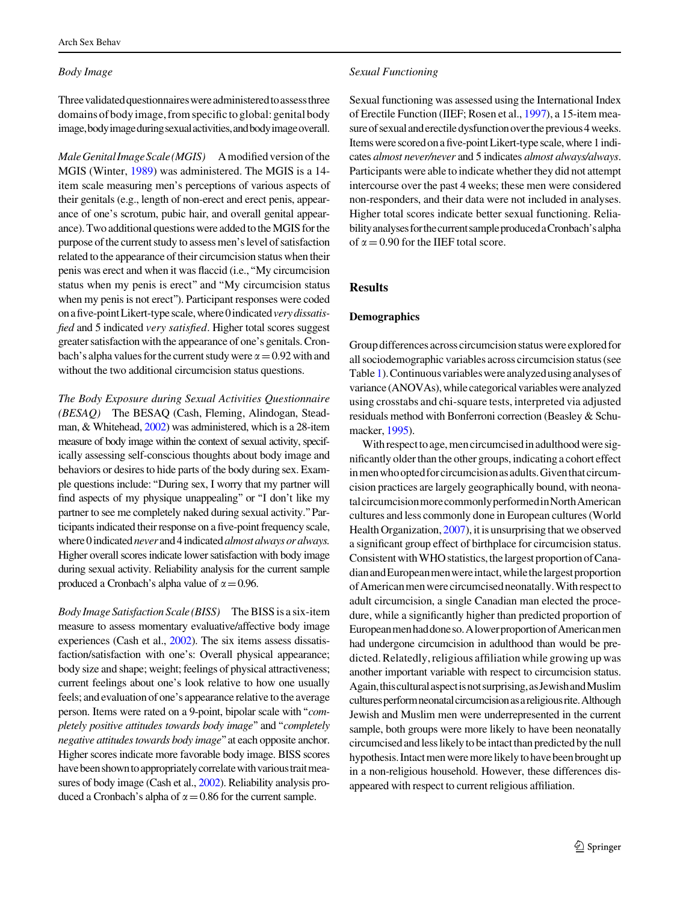#### Body Image

Three validated questionnaires were administered to assess three domains of body image, from specific to global: genital body image,bodyimageduringsexualactivities,andbodyimageoverall.

Male Genital Image Scale (MGIS) A modified version of the MGIS (Winter, [1989](#page-10-0)) was administered. The MGIS is a 14 item scale measuring men's perceptions of various aspects of their genitals (e.g., length of non-erect and erect penis, appearance of one's scrotum, pubic hair, and overall genital appearance). Two additional questions were added to the MGIS for the purpose of the current study to assess men's level of satisfaction related to the appearance of their circumcision status when their penis was erect and when it was flaccid (i.e.,''My circumcision status when my penis is erect'' and ''My circumcision status when my penis is not erect''). Participant responses were coded on a five-point Likert-type scale, where 0 indicated very dissatisfied and 5 indicated very satisfied. Higher total scores suggest greater satisfaction with the appearance of one's genitals. Cronbach's alpha values for the current study were  $\alpha = 0.92$  with and without the two additional circumcision status questions.

The Body Exposure during Sexual Activities Questionnaire (BESAQ) The BESAQ (Cash, Fleming, Alindogan, Steadman, & Whitehead, [2002](#page-9-0)) was administered, which is a 28-item measure of body image within the context of sexual activity, specifically assessing self-conscious thoughts about body image and behaviors or desires to hide parts of the body during sex. Example questions include:''During sex, I worry that my partner will find aspects of my physique unappealing" or "I don't like my partner to see me completely naked during sexual activity.''Participants indicated their response on a five-point frequency scale, where 0 indicated never and 4 indicated almost always or always. Higher overall scores indicate lower satisfaction with body image during sexual activity. Reliability analysis for the current sample produced a Cronbach's alpha value of  $\alpha = 0.96$ .

Body Image Satisfaction Scale (BISS) The BISS is a six-item measure to assess momentary evaluative/affective body image experiences (Cash et al., [2002\)](#page-9-0). The six items assess dissatisfaction/satisfaction with one's: Overall physical appearance; body size and shape; weight; feelings of physical attractiveness; current feelings about one's look relative to how one usually feels; and evaluation of one's appearance relative to the average person. Items were rated on a 9-point, bipolar scale with''completely positive attitudes towards body image'' and ''completely negative attitudes towards body image''at each opposite anchor. Higher scores indicate more favorable body image. BISS scores have been shown to appropriately correlate with various trait measures of body image (Cash et al., [2002\)](#page-9-0). Reliability analysis produced a Cronbach's alpha of  $\alpha$  = 0.86 for the current sample.

#### Sexual Functioning

Sexual functioning was assessed using the International Index of Erectile Function (IIEF; Rosen et al., [1997\)](#page-10-0), a 15-item measure of sexual and erectile dysfunction over the previous 4 weeks. Items were scored on a five-point Likert-type scale, where 1 indicates almost never/never and 5 indicates almost always/always. Participants were able to indicate whether they did not attempt intercourse over the past 4 weeks; these men were considered non-responders, and their data were not included in analyses. Higher total scores indicate better sexual functioning. ReliabilityanalysesforthecurrentsampleproducedaCronbach'salpha of  $\alpha = 0.90$  for the IIEF total score.

# Results

# Demographics

Group differences across circumcision status were explored for all sociodemographic variables across circumcision status (see Table [1\)](#page-3-0). Continuous variables were analyzed using analyses of variance (ANOVAs), while categorical variables were analyzed using crosstabs and chi-square tests, interpreted via adjusted residuals method with Bonferroni correction (Beasley & Schumacker, [1995\)](#page-9-0).

With respect to age, men circumcised in adulthood were significantly older than the other groups, indicating a cohort effect in men who opted for circumcision as adults. Given that circumcision practices are largely geographically bound, with neonatalcircumcisionmorecommonlyperformedinNorthAmerican cultures and less commonly done in European cultures (World Health Organization, [2007\)](#page-10-0), it is unsurprising that we observed a significant group effect of birthplace for circumcision status. Consistent with WHO statistics, the largest proportion of Canadian and European men were intact, while the largest proportion ofAmericanmenwerecircumcisedneonatally.With respectto adult circumcision, a single Canadian man elected the procedure, while a significantly higher than predicted proportion of Europeanmenhaddoneso.AlowerproportionofAmericanmen had undergone circumcision in adulthood than would be predicted. Relatedly, religious affiliation while growing up was another important variable with respect to circumcision status. Again,thisculturalaspectisnotsurprising,asJewishandMuslim cultures perform neonatal circumcision as a religious rite. Although Jewish and Muslim men were underrepresented in the current sample, both groups were more likely to have been neonatally circumcised and less likely to be intact than predicted by the null hypothesis. Intact men were more likely to have been brought up in a non-religious household. However, these differences disappeared with respect to current religious affiliation.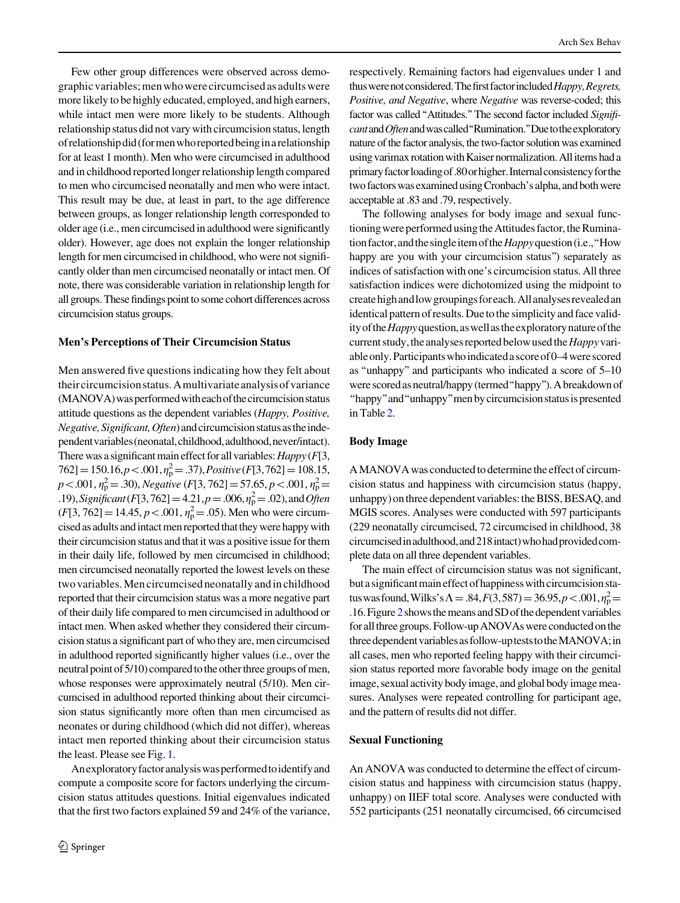Few other group differences were observed across demographic variables; men who were circumcised as adults were more likely to be highly educated, employed, and high earners, while intact men were more likely to be students. Although relationship status did not vary with circumcision status, length ofrelationshipdid(formenwhoreportedbeinginarelationship for at least 1 month). Men who were circumcised in adulthood and in childhood reported longer relationship length compared to men who circumcised neonatally and men who were intact. This result may be due, at least in part, to the age difference between groups, as longer relationship length corresponded to older age (i.e., men circumcised in adulthood were significantly older). However, age does not explain the longer relationship length for men circumcised in childhood, who were not significantly older than men circumcised neonatally or intact men. Of note, there was considerable variation in relationship length for all groups. These findings point to some cohort differences across circumcision status groups.

#### Men's Perceptions of Their Circumcision Status

Men answered five questions indicating how they felt about theircircumcisionstatus.Amultivariateanalysisofvariance (MANOVA)wasperformedwitheachofthecircumcisionstatus attitude questions as the dependent variables (Happy, Positive, Negative, Significant, Often) and circumcision status as the independentvariables(neonatal,childhood,adulthood,never/intact). There was a significant main effect for all variables:  $Happy$  ( $F[3, 1]$  $762$ ] = 150.16, p < .001,  $\eta_p^2$  = .37), Positive (F[3,762] = 108.15,  $p < .001$ ,  $\eta_p^2 = .30$ ), Negative (F[3, 762] = 57.65, p < .001,  $\eta_p^2$  = .19), Significant (F[3,762] = 4.21,  $p = .006$ ,  $\eta_p^2 = .02$ ), and Often  $(F[3, 762] = 14.45, p < .001, \eta_{p}^{2} = .05)$ . Men who were circumcised as adults and intact men reported that they were happy with their circumcision status and that it was a positive issue for them in their daily life, followed by men circumcised in childhood; men circumcised neonatally reported the lowest levels on these two variables. Men circumcisedneonatally and in childhood reported that their circumcision status was a more negative part of their daily life compared to men circumcised in adulthood or intact men. When asked whether they considered their circumcision status a significant part of who they are, men circumcised in adulthood reported significantly higher values (i.e., over the neutral point of 5/10) compared to the other three groups of men, whose responses were approximately neutral (5/10). Men circumcised in adulthood reported thinking about their circumcision status significantly more often than men circumcised as neonates or during childhood (which did not differ), whereas intact men reported thinking about their circumcision status the least. Please see Fig. [1.](#page-6-0)

Anexploratoryfactoranalysiswasperformedtoidentifyand compute a composite score for factors underlying the circumcision status attitudes questions. Initial eigenvalues indicated that the first two factors explained 59 and 24% of the variance, respectively. Remaining factors had eigenvalues under 1 and thus were not considered. The first factor included Happy, Regrets, Positive, and Negative, where Negative was reverse-coded; this factor was called "Attitudes." The second factor included Significant and Often and was called "Rumination." Due to the exploratory nature of the factor analysis, the two-factor solution was examined using varimax rotation with Kaiser normalization. All items had a primaryfactorloadingof.80orhigher.Internalconsistencyforthe two factors was examined using Cronbach's alpha, and both were acceptable at .83 and .79, respectively.

The following analyses for body image and sexual functioning were performed using the Attitudes factor, the Rumination factor, and the single item of the *Happy* question (i.e., "How happy are you with your circumcision status") separately as indices of satisfaction with one's circumcision status. All three satisfaction indices were dichotomized using the midpoint to createhighandlowgroupingsforeach.Allanalysesrevealedan identical pattern of results. Due to the simplicity and face validity of the *Happy* question, as well as the exploratory nature of the current study, the analyses reported below used the *Happy* variableonly.Participantswhoindicatedascoreof0–4werescored as ''unhappy'' and participants who indicated a score of 5–10 were scored as neutral/happy (termed "happy"). A breakdown of ''happy''and''unhappy''menbycircumcisionstatusispresented in Table [2.](#page-7-0)

#### Body Image

A MANOVA was conducted to determine the effect of circumcision status and happiness with circumcision status (happy, unhappy) on three dependent variables: the BISS, BESAQ, and MGIS scores. Analyses were conducted with 597 participants (229 neonatally circumcised, 72 circumcised in childhood, 38 circumcisedinadulthood,and218intact)whohadprovidedcomplete data on all three dependent variables.

The main effect of circumcision status was not significant, but a significant main effect of happiness with circumcision status was found, Wilks's  $\Lambda = .84, F(3,587) = 36.95, p < .001, \eta_{\rm p}^2 =$ .16. Figure  $2$  shows the means and SD of the dependent variables for all three groups. Follow-up ANOVAs were conducted on the three dependent variables as follow-up tests to the MANOVA; in all cases, men who reported feeling happy with their circumcision status reported more favorable body image on the genital image, sexual activity body image, and global body image measures. Analyses were repeated controlling for participant age, and the pattern of results did not differ.

# Sexual Functioning

An ANOVA was conducted to determine the effect of circumcision status and happiness with circumcision status (happy, unhappy) on IIEF total score. Analyses were conducted with 552 participants (251 neonatally circumcised, 66 circumcised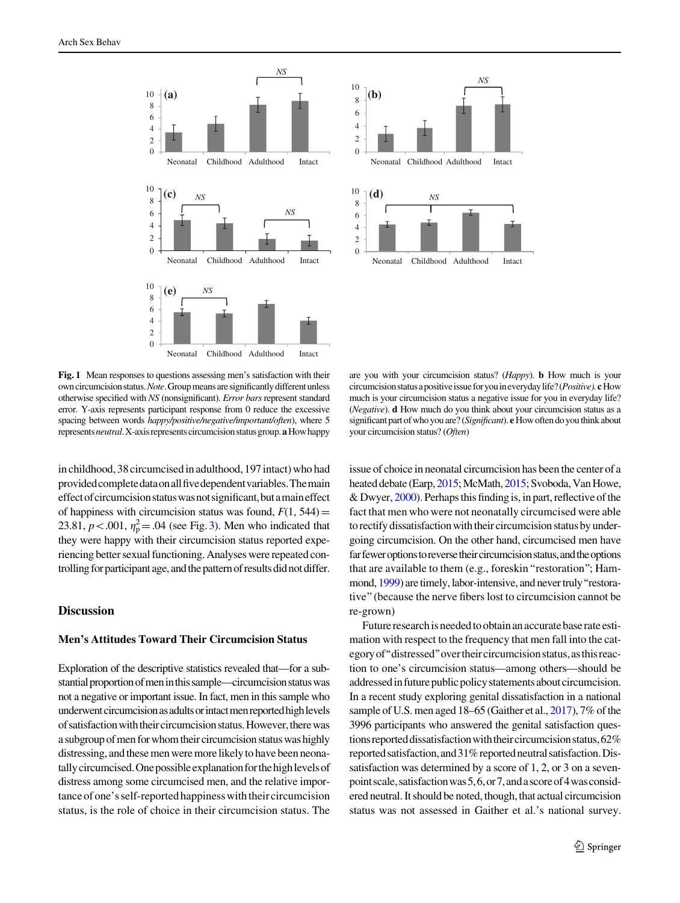<span id="page-6-0"></span>



Fig. 1 Mean responses to questions assessing men's satisfaction with their own circumcision status. Note. Group means are significantly different unless otherwise specified with NS (nonsignificant). Error bars represent standard error. Y-axis represents participant response from 0 reduce the excessive spacing between words happy/positive/negative/important/often), where 5 represents *neutral*. X-axis represents circumcision status group. **a** How happy

in childhood, 38 circumcised in adulthood, 197 intact) who had providedcompletedataonallfivedependentvariables.Themain effect of circumcision status was not significant, but a main effect of happiness with circumcision status was found,  $F(1, 544)$  = 23.81,  $p < .001$ ,  $\eta_p^2 = .04$  (see Fig. [3\)](#page-8-0). Men who indicated that they were happy with their circumcision status reported experiencing better sexual functioning. Analyses were repeated controlling for participant age, and the pattern of results did not differ.

# Discussion

# Men's Attitudes Toward Their Circumcision Status

Exploration of the descriptive statistics revealed that—for a substantial proportion of men in this sample—circumcision status was not a negative or important issue. In fact, men in this sample who underwent circumcision as adults or intact men reported high levels of satisfaction with their circumcision status. However, there was a subgroup of men for whom their circumcision status was highly distressing, and these men were more likely to have been neonatally circumcised. One possible explanation for the high levels of distress among some circumcised men, and the relative importance ofone's self-reported happiness with their circumcision status, is the role of choice in their circumcision status. The

are you with your circumcision status? (Happy). b How much is your circumcision status a positive issue for you in everyday life? (Positive). cHow much is your circumcision status a negative issue for you in everyday life? (Negative). d How much do you think about your circumcision status as a significant part of who you are? (Significant). e How often do you think about your circumcision status? (Often)

issue of choice in neonatal circumcision has been the center of a heated debate (Earp, [2015;](#page-9-0) McMath, [2015;](#page-10-0) Svoboda, Van Howe, & Dwyer, [2000\)](#page-10-0). Perhaps this finding is, in part, reflective of the fact that men who were not neonatally circumcised were able to rectify dissatisfaction with their circumcision status by undergoing circumcision. On the other hand, circumcised men have far fewer options to reverse their circumcision status, and the options that are available to them (e.g., foreskin''restoration''; Ham-mond, [1999](#page-9-0)) are timely, labor-intensive, and never truly "restorative''(because the nerve fibers lost to circumcision cannot be re-grown)

Future research is needed to obtain an accurate base rate estimation with respect to the frequency that men fall into the category of "distressed" over their circumcision status, as this reaction to one's circumcision status—among others—should be addressed in future public policy statements about circumcision. In a recent study exploring genital dissatisfaction in a national sample of U.S. men aged 18–65 (Gaither et al., [2017](#page-9-0)), 7% of the 3996 participants who answered the genital satisfaction questions reported dissatisfaction with their circumcision status, 62% reported satisfaction, and 31% reported neutral satisfaction. Dissatisfaction was determined by a score of 1, 2, or 3 on a sevenpointscale,satisfactionwas5,6,or7,andascoreof4wasconsidered neutral. It should be noted, though, that actual circumcision status was not assessed in Gaither et al.'s national survey.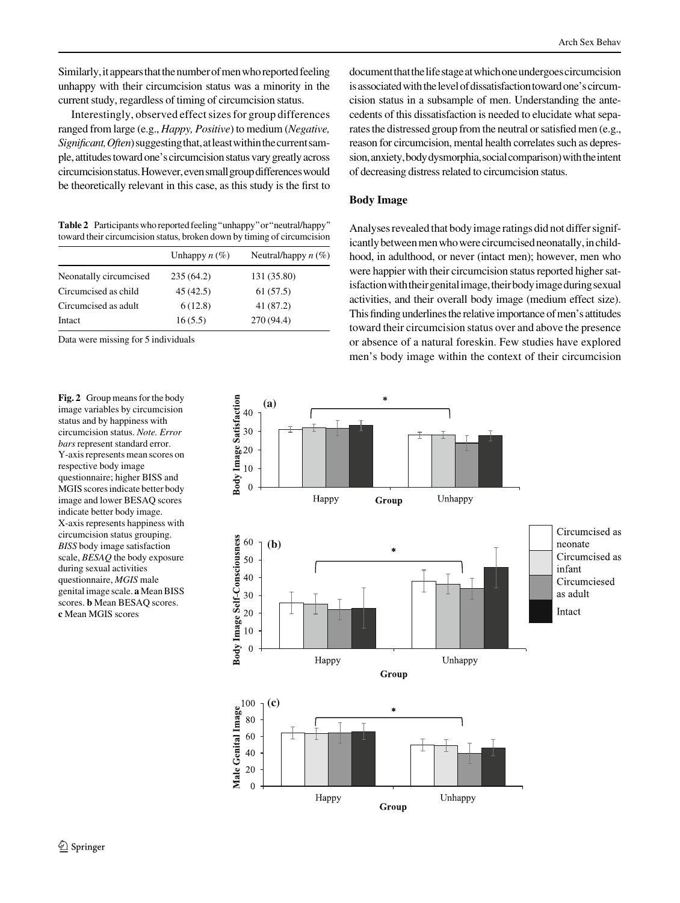<span id="page-7-0"></span>Similarly, it appears that the number of men who reported feeling unhappy with their circumcision status was a minority in the current study, regardless of timing of circumcision status.

Interestingly, observed effect sizes for group differences ranged from large (e.g., Happy, Positive) to medium (Negative, Significant, Often) suggesting that, at least within the current sample,attitudestoward one'scircumcision status vary greatlyacross circumcisionstatus.However,evensmallgroupdifferenceswould be theoretically relevant in this case, as this study is the first to

Table 2 Participants who reported feeling "unhappy" or "neutral/happy" toward their circumcision status, broken down by timing of circumcision

|                        | Unhappy $n(\%)$ | Neutral/happy $n$ (%) |
|------------------------|-----------------|-----------------------|
| Neonatally circumcised | 235(64.2)       | 131 (35.80)           |
| Circumcised as child   | 45 (42.5)       | 61 (57.5)             |
| Circumcised as adult   | 6(12.8)         | 41 (87.2)             |
| Intact                 | 16(5.5)         | 270 (94.4)            |

Data were missing for 5 individuals

Fig. 2 Group means for the body image variables by circumcision status and by happiness with circumcision status. Note. Error bars represent standard error. Y-axis represents mean scores on respective body image questionnaire; higher BISS and MGIS scores indicate better body image and lower BESAQ scores indicate better body image. X-axis represents happiness with circumcision status grouping. BISS body image satisfaction scale, BESAQ the body exposure during sexual activities questionnaire, MGIS male genital image scale. a Mean BISS scores. b Mean BESAQ scores. c Mean MGIS scores

documentthatthelifestageatwhichoneundergoescircumcision is associated with the level of dissatisfaction toward one's circumcision status in a subsample of men. Understanding the antecedents of this dissatisfaction is needed to elucidate what separates the distressed group from the neutral or satisfied men (e.g., reason for circumcision, mental health correlates such as depression, anxiety, body dysmorphia, social comparison) with the intent of decreasing distress related to circumcision status.

## Body Image

Analyses revealed that body image ratings did not differ significantly between men who were circumcised neonatally, in childhood, in adulthood, or never (intact men); however, men who were happier with their circumcision status reported higher satisfaction with their genital image, their body image during sexual activities, and their overall body image (medium effect size). This finding underlines the relative importance of men's attitudes toward their circumcision status over and above the presence or absence of a natural foreskin. Few studies have explored men's body image within the context of their circumcision

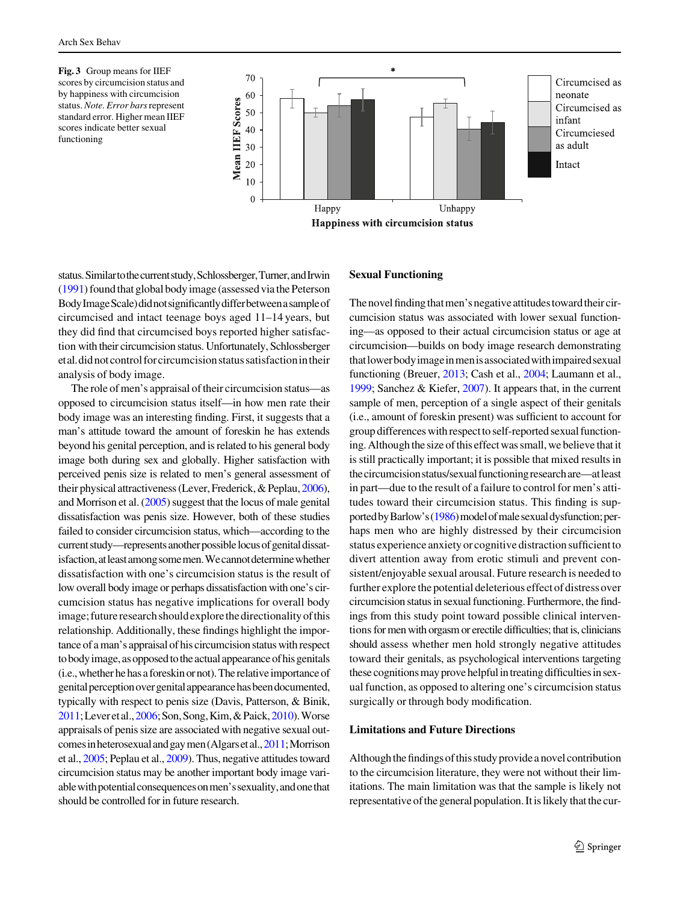<span id="page-8-0"></span>Fig. 3 Group means for IIEF scores by circumcision status and by happiness with circumcision status. Note. Error bars represent standard error. Higher mean IIEF scores indicate better sexual functioning



status.Similartothecurrentstudy,Schlossberger,Turner,andIrwin [\(1991\)](#page-10-0) found that global body image (assessedvia the Peterson BodyImageScale)didnotsignificantlydifferbetweenasampleof circumcised and intact teenage boys aged 11–14 years, but they did find that circumcised boys reported higher satisfaction with their circumcision status. Unfortunately, Schlossberger etal.didnotcontrolforcircumcisionstatussatisfactionintheir analysis of body image.

The role of men's appraisal of their circumcision status—as opposed to circumcision status itself—in how men rate their body image was an interesting finding. First, it suggests that a man's attitude toward the amount of foreskin he has extends beyond his genital perception, and is related to his general body image both during sex and globally. Higher satisfaction with perceived penis size is related to men's general assessment of their physical attractiveness (Lever, Frederick, & Peplau, [2006\)](#page-10-0), and Morrison et al. [\(2005\)](#page-10-0) suggest that the locus of male genital dissatisfaction was penis size. However, both of these studies failed to consider circumcision status, which—according to the current study—represents another possible locus of genital dissatisfaction, at least among some men. We cannot determine whether dissatisfaction with one's circumcision status is the result of low overall body image or perhaps dissatisfaction with one's circumcision status has negative implications for overall body image; future research should explore the directionality of this relationship. Additionally, these findings highlight the importance of a man's appraisal of his circumcision status with respect to body image, as opposed to the actual appearance of his genitals (i.e., whether he has a foreskin or not). The relative importance of genitalperceptionovergenitalappearancehasbeendocumented, typically with respect to penis size (Davis, Patterson, & Binik, [2011](#page-9-0);Leveretal.,[2006;](#page-10-0)Son,Song,Kim,&Paick,[2010](#page-10-0)).Worse appraisals of penis size are associated with negative sexual outcomesinheterosexualandgaymen(Algarsetal.,[2011](#page-9-0);Morrison et al., [2005;](#page-10-0) Peplau et al., [2009\)](#page-10-0). Thus, negative attitudes toward circumcision status may be another important body image variable with potential consequences on men's sexuality, and one that should be controlled for in future research.

# Sexual Functioning

The novel finding that men's negative attitudes toward their circumcision status was associated with lower sexual functioning—as opposed to their actual circumcision status or age at circumcision—builds on body image research demonstrating thatlowerbodyimageinmenisassociatedwithimpairedsexual functioning (Breuer, [2013](#page-9-0); Cash et al., [2004](#page-9-0); Laumann et al., [1999;](#page-9-0) Sanchez & Kiefer, [2007\)](#page-10-0). It appears that, in the current sample of men, perception of a single aspect of their genitals (i.e., amount of foreskin present) was sufficient to account for group differences with respect to self-reported sexual functioning. Although the size of this effect was small, we believe that it is still practically important; it is possible that mixed results in the circumcision status/sexual functioning research are—at least in part—due to the result of a failure to control for men's attitudes toward their circumcision status. This finding is sup-ported by Barlow's [\(1986\)](#page-9-0) model of male sexual dysfunction; perhaps men who are highly distressed by their circumcision status experience anxiety or cognitive distraction sufficient to divert attention away from erotic stimuli and prevent consistent/enjoyable sexual arousal. Future research is needed to further explore the potential deleterious effect of distress over circumcision status in sexual functioning. Furthermore, the findings from this study point toward possible clinical interventions for men with orgasm or erectile difficulties; that is, clinicians should assess whether men hold strongly negative attitudes toward their genitals, as psychological interventions targeting these cognitions may prove helpful in treating difficulties in sexual function, as opposed to altering one's circumcision status surgically or through body modification.

#### Limitations and Future Directions

Although the findings of this study provide a novel contribution to the circumcision literature, they were not without their limitations. The main limitation was that the sample is likely not representativeofthe general population. It is likely that the cur-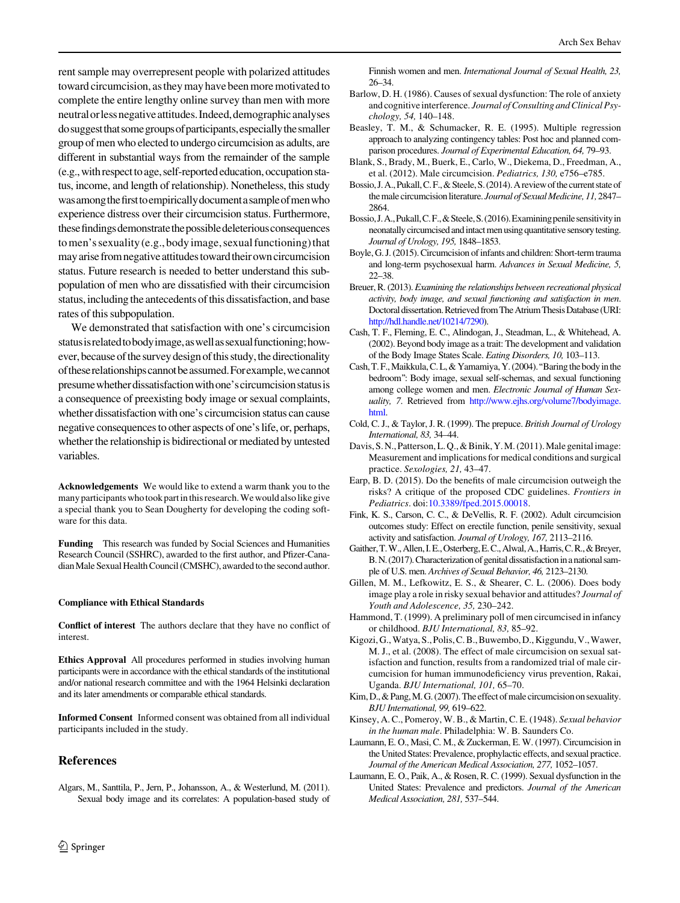<span id="page-9-0"></span>rent sample may overrepresent people with polarized attitudes toward circumcision, asthey mayhavebeen more motivated to complete the entire lengthy online survey than men with more neutralorlessnegativeattitudes.Indeed,demographicanalyses dosuggestthatsomegroupsofparticipants,especiallythesmaller group of men who elected to undergo circumcision as adults, are different in substantial ways from the remainder of the sample (e.g., with respect to age, self-reported education, occupation status, income, and length of relationship). Nonetheless, this study was among the first to empirically document a sample of men who experience distress over their circumcision status. Furthermore, these findings demonstrate the possible deleterious consequences to men's sexuality (e.g., body image, sexual functioning) that may arise from negative attitudes toward their own circumcision status. Future research is needed to better understand this subpopulation of men who are dissatisfied with their circumcision status, including the antecedents of this dissatisfaction, and base rates of this subpopulation.

We demonstrated that satisfaction with one's circumcision statusisrelatedtobodyimage,aswellassexualfunctioning;however, because of the survey design of this study, the directionality oftheserelationshipscannotbeassumed.Forexample,wecannot presume whether dissatisfaction with one's circumcision status is a consequence of preexisting body image or sexual complaints, whether dissatisfaction with one's circumcision status can cause negative consequences to other aspects of one's life, or, perhaps, whether the relationship is bidirectional or mediated by untested variables.

Acknowledgements We would like to extend a warm thank you to the many participants who took part in this research. We would also like give a special thank you to Sean Dougherty for developing the coding software for this data.

Funding This research was funded by Social Sciences and Humanities Research Council (SSHRC), awarded to the first author, and Pfizer-Canadian Male Sexual Health Council (CMSHC), awarded to the second author.

#### Compliance with Ethical Standards

Conflict of interest The authors declare that they have no conflict of interest.

Ethics Approval All procedures performed in studies involving human participants were in accordance with the ethical standards of the institutional and/or national research committee and with the 1964 Helsinki declaration and its later amendments or comparable ethical standards.

Informed Consent Informed consent was obtained from all individual participants included in the study.

## References

Algars, M., Santtila, P., Jern, P., Johansson, A., & Westerlund, M. (2011). Sexual body image and its correlates: A population-based study of Finnish women and men. International Journal of Sexual Health, 23, 26–34.

- Barlow, D. H. (1986). Causes of sexual dysfunction: The role of anxiety and cognitive interference. Journal of Consulting and Clinical Psychology, 54, 140–148.
- Beasley, T. M., & Schumacker, R. E. (1995). Multiple regression approach to analyzing contingency tables: Post hoc and planned comparison procedures. Journal of Experimental Education, 64, 79–93.
- Blank, S., Brady, M., Buerk, E., Carlo, W., Diekema, D., Freedman, A., et al. (2012). Male circumcision. Pediatrics, 130, e756–e785.
- Bossio, J. A., Pukall, C. F., & Steele, S. (2014). A review of the current state of the male circumcision literature. Journal of Sexual Medicine, 11, 2847-2864.
- Bossio, J. A., Pukall, C. F., & Steele, S. (2016). Examining penile sensitivity in neonatally circumcised and intact men using quantitative sensory testing. Journal of Urology, 195, 1848–1853.
- Boyle, G. J. (2015). Circumcision of infants and children: Short-term trauma and long-term psychosexual harm. Advances in Sexual Medicine, 5, 22–38.
- Breuer, R. (2013). Examining the relationships between recreational physical activity, body image, and sexual functioning and satisfaction in men. Doctoral dissertation. Retrieved from The Atrium Thesis Database (URI: [http://hdl.handle.net/10214/7290\)](http://hdl.handle.net/10214/7290).
- Cash, T. F., Fleming, E. C., Alindogan, J., Steadman, L., & Whitehead, A. (2002). Beyond body image as a trait: The development and validation of the Body Image States Scale. Eating Disorders, 10, 103–113.
- Cash,T.F.,Maikkula,C.L,& Yamamiya,Y.(2004).''Baringthebodyinthe bedroom'': Body image, sexual self-schemas, and sexual functioning among college women and men. Electronic Journal of Human Sexuality, 7. Retrieved from [http://www.ejhs.org/volume7/bodyimage.](http://www.ejhs.org/volume7/bodyimage.html) [html.](http://www.ejhs.org/volume7/bodyimage.html)
- Cold, C. J., & Taylor, J. R. (1999). The prepuce. British Journal of Urology International, 83, 34–44.
- Davis, S.N., Patterson, L.Q., & Binik, Y.M. (2011). Male genital image: Measurement and implications for medical conditions and surgical practice. Sexologies, 21, 43–47.
- Earp, B. D. (2015). Do the benefits of male circumcision outweigh the risks? A critique of the proposed CDC guidelines. Frontiers in Pediatrics. doi[:10.3389/fped.2015.00018.](http://dx.doi.org/10.3389/fped.2015.00018)
- Fink, K. S., Carson, C. C., & DeVellis, R. F. (2002). Adult circumcision outcomes study: Effect on erectile function, penile sensitivity, sexual activity and satisfaction. Journal of Urology, 167, 2113–2116.
- Gaither,T.W.,Allen,I.E.,Osterberg,E.C.,Alwal,A.,Harris,C.R.,&Breyer, B.N.(2017). Characterization of genital dissatisfaction in a national sample of U.S. men. Archives of Sexual Behavior, 46, 2123–2130.
- Gillen, M. M., Lefkowitz, E. S., & Shearer, C. L. (2006). Does body image play a role in risky sexual behavior and attitudes? Journal of Youth and Adolescence, 35, 230–242.
- Hammond, T. (1999). A preliminary poll of men circumcised in infancy or childhood. BJU International, 83, 85–92.
- Kigozi, G., Watya, S., Polis, C. B., Buwembo, D., Kiggundu, V., Wawer, M. J., et al. (2008). The effect of male circumcision on sexual satisfaction and function, results from a randomized trial of male circumcision for human immunodeficiency virus prevention, Rakai, Uganda. BJU International, 101, 65–70.
- Kim, D., & Pang, M. G. (2007). The effect of male circumcision on sexuality. BJU International, 99, 619–622.
- Kinsey, A. C., Pomeroy, W. B., & Martin, C. E. (1948). Sexual behavior in the human male. Philadelphia: W. B. Saunders Co.
- Laumann, E. O., Masi, C. M., & Zuckerman, E. W. (1997). Circumcision in the United States: Prevalence, prophylactic effects, and sexual practice. Journal of the American Medical Association, 277, 1052–1057.
- Laumann, E. O., Paik, A., & Rosen, R. C. (1999). Sexual dysfunction in the United States: Prevalence and predictors. Journal of the American Medical Association, 281, 537–544.